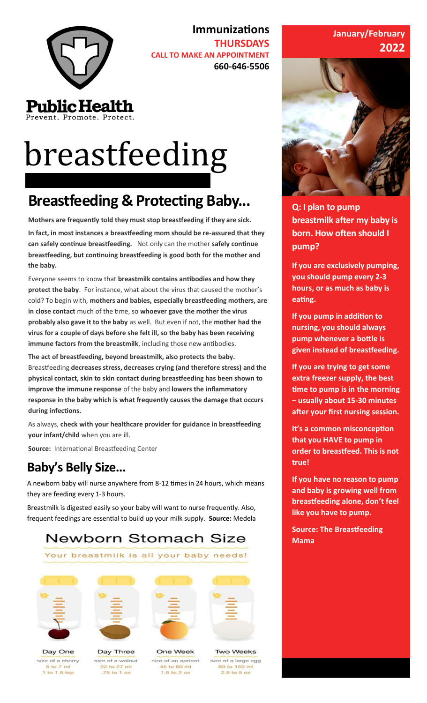

**Immunizations THURSDAYS CALL TO MAKE AN APPOINTMENT 660-646-5506**

# breastfeeding

### **Breastfeeding & Protecting Baby...**

**Mothers are frequently told they must stop breastfeeding if they are sick.** 

**In fact, in most instances a breastfeeding mom should be re-assured that they can safely continue breastfeeding.** Not only can the mother **safely continue breastfeeding, but continuing breastfeeding is good both for the mother and the baby.**

Everyone seems to know that **breastmilk contains antibodies and how they protect the baby**. For instance, what about the virus that caused the mother's cold? To begin with, **mothers and babies, especially breastfeeding mothers, are in close contact** much of the time, so **whoever gave the mother the virus probably also gave it to the baby** as well. But even if not, the **mother had the virus for a couple of days before she felt ill, so the baby has been receiving immune factors from the breastmilk**, including those new antibodies.

**The act of breastfeeding, beyond breastmilk, also protects the baby.**  Breastfeeding **decreases stress, decreases crying (and therefore stress) and the physical contact, skin to skin contact during breastfeeding has been shown to improve the immune response** of the baby and **lowers the inflammatory response in the baby which is what frequently causes the damage that occurs during infections.**

As always, **check with your healthcare provider for guidance in breastfeeding your infant/child** when you are ill.

**Source:** International Breastfeeding Center

#### **Baby's Belly Size...**

A newborn baby will nurse anywhere from 8-12 times in 24 hours, which means they are feeding every 1-3 hours.

Breastmilk is digested easily so your baby will want to nurse frequently. Also, frequent feedings are essential to build up your milk supply. **Source:** Medela

#### Newborn Stomach Size

Your breastmilk is all your baby needs!



Day One

size of a cherry

5 to 7 ml

 $1$  to  $1.5$  tsp



Day Three

size of a walnut

22 to 27 ml

.75 to 1 oz





One Week size of an apricot 45 to 60 ml  $1.5$  to  $2$  oz

#### **January/February 2022**



**Q: I plan to pump breastmilk after my baby is born. How often should I pump?**

**If you are exclusively pumping, you should pump every 2-3 hours, or as much as baby is eating.**

**If you pump in addition to nursing, you should always pump whenever a bottle is given instead of breastfeeding.** 

**If you are trying to get some extra freezer supply, the best time to pump is in the morning – usually about 15-30 minutes after your first nursing session.**

**It's a common misconception that you HAVE to pump in order to breastfeed. This is not true!**

**If you have no reason to pump and baby is growing well from breastfeeding alone, don't feel like you have to pump.** 

**Source: The Breastfeeding Mama**

**Two Weeks** size of a large egg 80 to 150 ml  $2.5$  to  $5$  oz